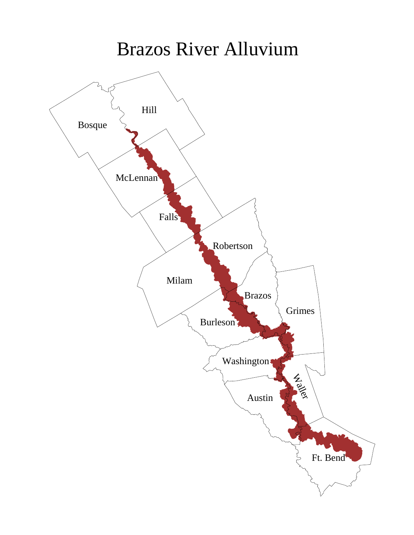## Brazos River Alluvium